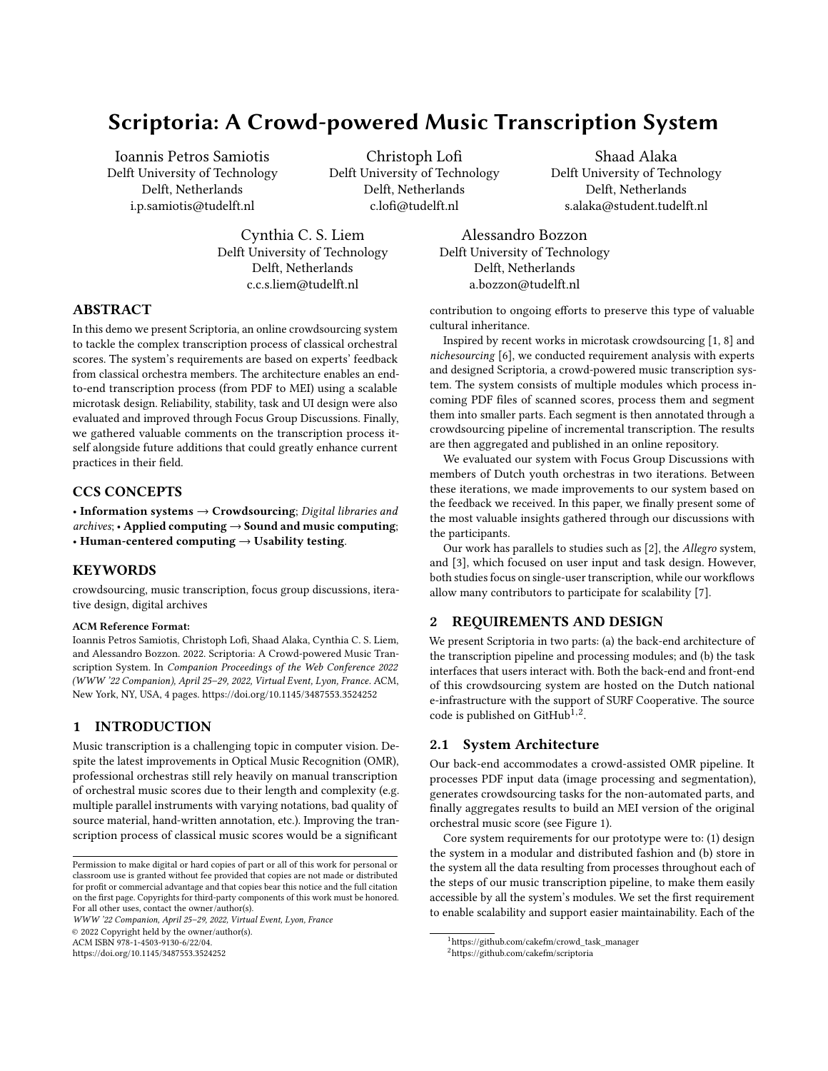# Scriptoria: A Crowd-powered Music Transcription System

[Ioannis Petros Samiotis](https://orcid.org/0000-0001-6518-0688) Delft University of Technology Delft, Netherlands i.p.samiotis@tudelft.nl

Christoph Lofi Delft University of Technology Delft, Netherlands c.lofi@tudelft.nl

Shaad Alaka Delft University of Technology Delft, Netherlands s.alaka@student.tudelft.nl

Cynthia C. S. Liem Delft University of Technology Delft, Netherlands c.c.s.liem@tudelft.nl

Alessandro Bozzon Delft University of Technology Delft, Netherlands a.bozzon@tudelft.nl

# ABSTRACT

In this demo we present Scriptoria, an online crowdsourcing system to tackle the complex transcription process of classical orchestral scores. The system's requirements are based on experts' feedback from classical orchestra members. The architecture enables an endto-end transcription process (from PDF to MEI) using a scalable microtask design. Reliability, stability, task and UI design were also evaluated and improved through Focus Group Discussions. Finally, we gathered valuable comments on the transcription process itself alongside future additions that could greatly enhance current practices in their field.

#### CCS CONCEPTS

• Information systems  $\rightarrow$  Crowdsourcing; Digital libraries and  $archives$ ; • Applied computing  $\rightarrow$  Sound and music computing; • Human-centered computing  $\rightarrow$  Usability testing.

#### **KEYWORDS**

crowdsourcing, music transcription, focus group discussions, iterative design, digital archives

#### ACM Reference Format:

Ioannis Petros Samiotis, Christoph Lofi, Shaad Alaka, Cynthia C. S. Liem, and Alessandro Bozzon. 2022. Scriptoria: A Crowd-powered Music Transcription System. In Companion Proceedings of the Web Conference 2022 (WWW '22 Companion), April 25–29, 2022, Virtual Event, Lyon, France. ACM, New York, NY, USA, [4](#page-3-0) pages.<https://doi.org/10.1145/3487553.3524252>

## 1 INTRODUCTION

Music transcription is a challenging topic in computer vision. Despite the latest improvements in Optical Music Recognition (OMR), professional orchestras still rely heavily on manual transcription of orchestral music scores due to their length and complexity (e.g. multiple parallel instruments with varying notations, bad quality of source material, hand-written annotation, etc.). Improving the transcription process of classical music scores would be a significant

WWW '22 Companion, April 25–29, 2022, Virtual Event, Lyon, France © 2022 Copyright held by the owner/author(s).

ACM ISBN 978-1-4503-9130-6/22/04.

<https://doi.org/10.1145/3487553.3524252>

contribution to ongoing efforts to preserve this type of valuable cultural inheritance.

Inspired by recent works in microtask crowdsourcing [\[1,](#page-3-1) [8\]](#page-3-2) and nichesourcing [\[6\]](#page-3-3), we conducted requirement analysis with experts and designed Scriptoria, a crowd-powered music transcription system. The system consists of multiple modules which process incoming PDF files of scanned scores, process them and segment them into smaller parts. Each segment is then annotated through a crowdsourcing pipeline of incremental transcription. The results are then aggregated and published in an online repository.

We evaluated our system with Focus Group Discussions with members of Dutch youth orchestras in two iterations. Between these iterations, we made improvements to our system based on the feedback we received. In this paper, we finally present some of the most valuable insights gathered through our discussions with the participants.

Our work has parallels to studies such as [\[2\]](#page-3-4), the Allegro system, and [\[3\]](#page-3-5), which focused on user input and task design. However, both studies focus on single-user transcription, while our workflows allow many contributors to participate for scalability [\[7\]](#page-3-6).

#### 2 REQUIREMENTS AND DESIGN

We present Scriptoria in two parts: (a) the back-end architecture of the transcription pipeline and processing modules; and (b) the task interfaces that users interact with. Both the back-end and front-end of this crowdsourcing system are hosted on the Dutch national e-infrastructure with the support of SURF Cooperative. The source code is published on GitHub<sup>1,2</sup>.

#### <span id="page-0-0"></span>2.1 System Architecture

Our back-end accommodates a crowd-assisted OMR pipeline. It processes PDF input data (image processing and segmentation), generates crowdsourcing tasks for the non-automated parts, and finally aggregates results to build an MEI version of the original orchestral music score (see Figure [1\)](#page-1-0).

Core system requirements for our prototype were to: (1) design the system in a modular and distributed fashion and (b) store in the system all the data resulting from processes throughout each of the steps of our music transcription pipeline, to make them easily accessible by all the system's modules. We set the first requirement to enable scalability and support easier maintainability. Each of the

Permission to make digital or hard copies of part or all of this work for personal or classroom use is granted without fee provided that copies are not made or distributed for profit or commercial advantage and that copies bear this notice and the full citation on the first page. Copyrights for third-party components of this work must be honored. For all other uses, contact the owner/author(s).

<sup>&</sup>lt;sup>1</sup>[https://github.com/cakefm/crowd\\_task\\_manager](https://github.com/cakefm/crowd_task_manager)

<sup>2</sup><https://github.com/cakefm/scriptoria>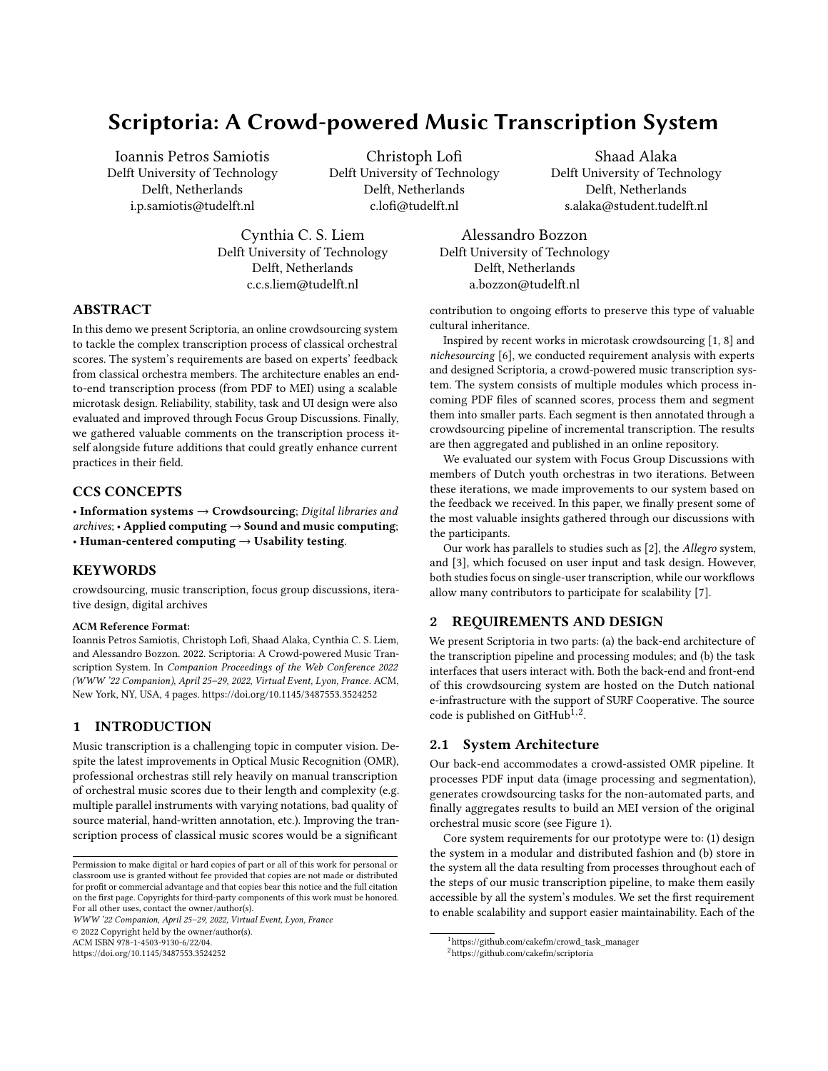WWW '22 Companion, April 25–29, 2022, Virtual Event, Lyon, France Samiotis, et al. Samiotis, et al. Samiotis, et al.

<span id="page-1-0"></span>

Figure 1: Schema of Crowd Task Manager's modules.

modules in the prototype represents a step on the transcription pipeline and serves a specific functionality. This helps to easily replace parts of the pipeline with more sophisticated ones, without breaking the overall operability of the system. We implemented a central module which holds the logic steps of the transcription pipeline which sends messages that dictate which of the modules should be activated and when. Each module inside the pipeline imports data from our local database and stores data to it to make them available to the other modules.

When a PDF score is sent to the back-end, first rasterisation is performed followed by some standard image pre-processing. First, the contrast of the page is maximized, after which the page is binarized. Following this, any rotations in the page that might have occurred due to scanning of the original score are rectified. Following these steps, a top-down approach is followed in analyzing the page structure. First, systems will be separated, which are subsequently segmented into vertical blocks, which are then segmented into measures. Each segment is stored in a MongoDB database, alongside their identifiers and they become available to the front-end through an API.

Consulting an expert from the Royal Concertgebouw Orchestra<sup>3</sup> (RCO) of Amsterdam, we identified the most important elements of an orchestral music score, alongside the minimum-viable-product requirements for a final transcribed score. The music notations we focus in our transcription pipeline where: (a) clefs, (b) time signatures, (c) key signatures, (d) rhythmic information of notes, (e) pitch information of notes. We then broke down the transcription pipeline into consecutive tasks that can be conveyed in a microtask crowdsourcing fashion, focusing on those individual important music elements. The tasks we designed were:

- Clef recognition: indicate whether one or multiple clefs are visible in a segment, and if so, which;
- Time signature recognition: indicate whether a time signature indication is visible in a segment, and if so, which;
- Key recognition: indicate whether a key signature indication is visible in a segment, and if so, which;
- Rhythm transcription: transcribe the rhythm of the musical content in a segment;
- Pitch transcription: transcribe the pitches of the musical content in a segment.

Each task has specific inputs (segments of the given score) and outputs (music notations), designed to be performed easily and efficiently by the users. As contributors work on the tasks, in the back-end, a score is built up in the open Music Encoding Initiative (MEI) format, and each contribution is stored as a commit on GitHub.

To allow for coherent completion, we implemented a scheduling algorithm which follows a hierarchy of importance for MEI elements. For each segment, the clef, key and time signatures are essential, as they could alter all subsequent music elements (notes/rests), which depend on them. These crowdsourcing tasks co-exist with automated methods such as measure detection, image segmentation and XML-tree aggregation, creating a hybrid system where humanmachine collaboration achieves the shared goal of generating MEI orchestral pieces from PDF input.

#### 2.2 Task Design and Interfaces

A dedicated front-end server was developed, to allow dynamic rendering of UI elements and dynamic route matching for the different types of tasks. This is based on a NodeJS server which hosts all the necessary components such as interfaces, UI elements and dedicated task type components, while handling communications with the back-end through Axios. The front-end can access each score segment through the back-end's API and renders their images dynamically on the browser. The user input is translated to MEI headers and communicated back to the back-end.

Our target contributors were semi-experts (youth/student members of classical orchestras), so we factored their expertise during the task design process. As described in Section [2.1,](#page-0-0) we designed a separate task type for each of the five music notations. The detection tasks for clef, time signature and key signature, presented the user with the original segment of the score (an image of a given measure) and they had to indicate the existence of the given music notation, while identifying its characteristics (e.g. if a clef exists, select its type). For the rhythm and pitch detection tasks, the user was presented with the image of the original segment to the left, so they can immediately compare their choices on the rendered MEI snippet to the right (see Figure [2\)](#page-3-7).

Due to our contributors' expertise, a certain high level of input was expected. Their expertise, combined with majority voting aggregation and tree aligning algorithms, would ensure high quality of output, therefore rendering possible verification tasks inessential.

## 3 FOCUS GROUPS AND ITERATIVE DESIGN

We conducted focus group discussions with semi-experts and young professionals members of multiple classical youth to evaluate our workflow and task designs. During the discussions, we investigated current methods they employ to transcribe orchestral music scores, but also encouraged them to explore the requirements and workflows of a future, more feature-rich version.

Interviews with experts played a crucial role to the design of our transcription system. The initial design of our prototype was based on feedback and requirements received by a professional expert in the RCO and from the youth orchestra Krashna Musika $^4$ . For the focus group discussions, we reached out to several youth

<sup>3</sup><https://www.concertgebouworkest.nl/en>

<sup>4</sup><https://www.krashna.nl/en/>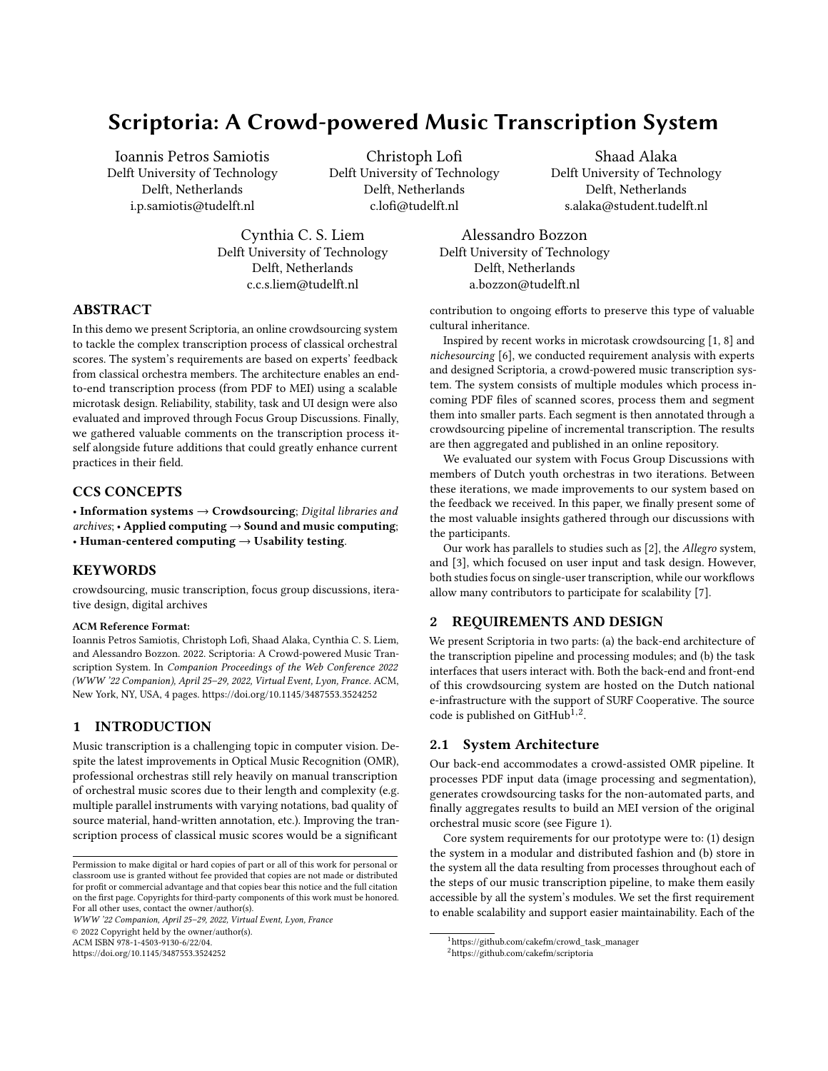orchestras in the Netherlands, who were enthusiastic to participate. Following an iterative design methodology, we split the participants into two groups; the feedback received from the first group was used to update the designs in our transcription system and the second group was presented with the final version.

#### 3.1 Recruitment

Due to the COVID-19 crisis, all studies were conducted through online videoconferencing. For both rounds of studies, a similar protocol was followed. First study was conducted in 5 sessions, with 30 participants in total. The second study took place 4 months later and it was conducted in 4 sessions, with 33 participants in total. The participants of both studies were members of Dutch youth orchestras, namely: Collegium Musicum<sup>5</sup>, Quadrivium<sup>6</sup>, NJO<sup>7</sup>, Sweelinck<sup>8</sup>, Nijmeegs Studentenorkest CMC $^9$ , Amsterdams Studenten Orkest $^{10},$ S. M. G. 'Sempre Crescendo'<sup>11</sup> and Almeers Youth Symphony Or- $\text{chestra}^{12}$ .

#### 3.2 Focus Group Structure

First, informed consent was asked of the participants and a musical background survey based on the Goldsmiths Musical Sophistication Index (Gold-MSI) [\[5\]](#page-3-8) was conducted. After a round of introductions, the researchers discussed with the participants on current transcription practices and motivations behind the proposed workflow. Subsequently, the participants were invited to engage with the transcription system for an hour. During this hour, they would gradually complete the different tasks and go through the different task stages. The participants were asked to work individually, and only ask for help/clarification in case they really ran into technical problems; the researchers remained on the call for answering such questions. Finally, participants were invited to fill in a Post-Study System Usability Questionnaire (PSSUQ) [\[4\]](#page-3-9) survey, and the researchers moderated a task-by-task discussion in which participants were encouraged to share qualitative feedback on their experiences and opinions on possible improvements.

All study sessions consider the first pages of Ludwig van Beethoven's Sextet in E-flat major, op. 71, where for the scanned score we used a PDF from the  $IMSLP<sup>13</sup>$ . The amount of transcription work was adjusted, based on the number of participants in each session.

### 4 EVALUATION AND IMPROVEMENTS

#### 4.1 First study

As expected, the musical background survey indicated that many of the players had extensive musical instrument training, representing a considerable diversity of instrument experience. While this could indicate different expertise on specific music notations (such as types of clefs), nevertheless, the UI and transcription tasks of those

notations were designed to be primarily based on visual recognition of similar artefacts.

In all sessions, participants managed to fully complete all tasks. We found that the rhythm and pitch transcription tasks are much more time consuming compared to the clef, key signature and time signature tasks. The qualitative feedback by the participants, indicated that the UI design of these tasks could still be further improved.

For the time signature detection task, participants suggested to include buttons for commonly occurring time signatures to further minimize the need for textual input. They also indicated that the key signature detection task was confusing for some, due to the high complexity of the annotation (key signatures can occur in multiple places, even in a small segments).

For the rhythm transcription, the UI was found cumbersome and it was suggested to expand to more buttons with common preset choices. Furthermore, the absence of note beams when transcribing, made the visual comparison between the reference and the entered input more difficult.

Regarding the pitch transcription, participants indicated that the task involved elaborate user input and that it would be useful to include shortcuts for common actions and input dragging. Furthermore, at the moment of these studies, the way the default pitch of the rhythm notes was registered during the previous task, was deemed insufficient to clearly visualise the notes in this task.

Execution time is estimated based on commit logs of the Git repository. Through the user evaluation we identified issues with this method for two main reasons: there may be time lag between subsequent commits due to the input volume processed by our system; results that did not alter the MEI snippet, where not committed (e.g. indicating no clef in given segment).

Finally, general feedback focused on the inconsistency of the 'submit' button's look and feel across tasks. Also, task instructions were found either unclear or too 'wordy'. These usability issues were also apparent in the PSSUQ survey results.

#### 4.2 Implemented improvements

As noted in the previous section, there were some issues with the initial GUI designs that impacted user efficiency and the overall user experience. To rectify this, we implemented multiple changes.

For time detection, we added preset buttons with frequently occurring time signatures. For key signature detection, contributors can select the type of key signature, and click a button to increment the count, which will show a preview of the key signature. For rhythm transcription, a full redesign of the GUI was performed, replacing the slider with expanded preset buttons (see Figure [2\)](#page-3-7). In addition, note navigation/deletion has been replaced by a single undo button. Finally, beam support has been added. For pitch transcription, octave adjustment buttons have been added, and notes get initialized in the middle of a staff, depending on the preceding clef. Furthermore, for note navigation, keyboard shortcuts were now implemented.

In terms of general improvements, the 'submit' button was standardized in terms of look, feel and location across tasks. Furthermore, the help text was replaced by a help button, launching a

 ${\rm ^5}$ <https://www.collegiummusicum.nl/en/>

<sup>6</sup><https://www.esmgquadrivium.nl>

<sup>7</sup><https://www.njo.nl/english/orchestra/orchestra>

<sup>8</sup><https://www.sweelinckorkest.nl>

<sup>9</sup><https://www.nijmeegsstudentenorkest.nl>

<sup>10</sup><http://www.amsterdamsstudentenorkest.nl/en/>

<sup>11</sup><https://www.smgsemprecrescendo.nl>

<sup>12</sup><https://www.stichtingajso.nl/english/ajso/>

<sup>13</sup>[https://imslp.org/wiki/Sextet\\_in\\_E-flat\\_major%2C\\_Op.71\\_\(Beethoven%2C\\_Ludwig\\_van\)](https://imslp.org/wiki/Sextet_in_E-flat_major%2C_Op.71_(Beethoven%2C_Ludwig_van))